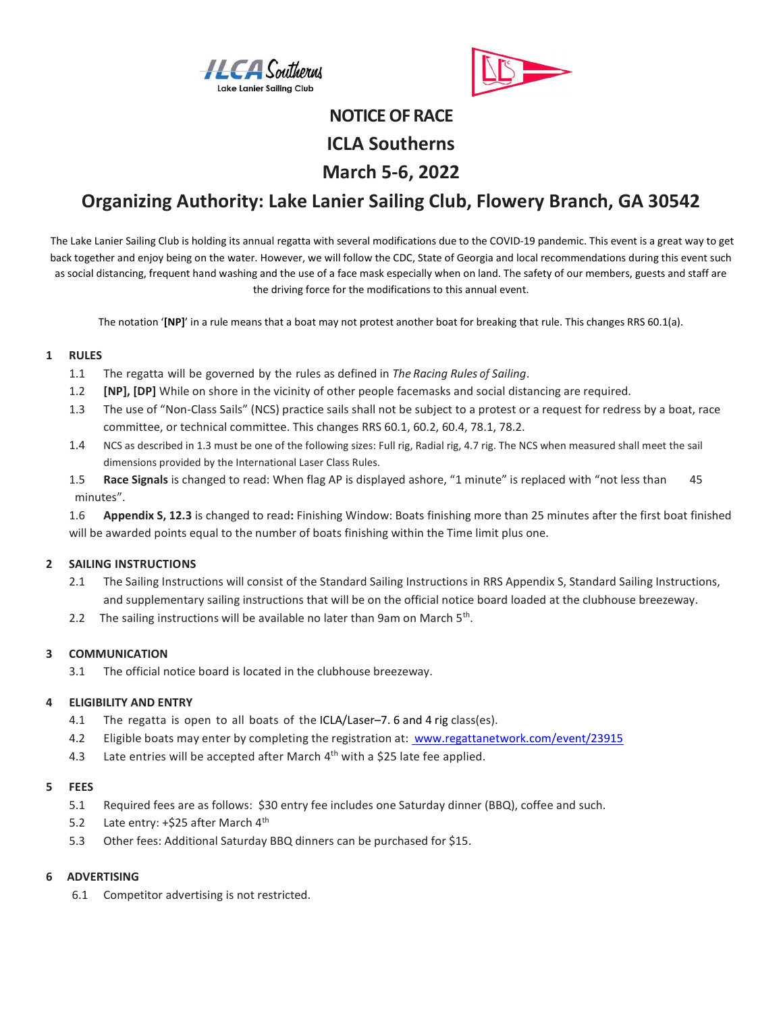



# NOTICE OF RACE ICLA Southerns March 5-6, 2022

## Organizing Authority: Lake Lanier Sailing Club, Flowery Branch, GA 30542

The Lake Lanier Sailing Club is holding its annual regatta with several modifications due to the COVID-19 pandemic. This event is a great way to get back together and enjoy being on the water. However, we will follow the CDC, State of Georgia and local recommendations during this event such as social distancing, frequent hand washing and the use of a face mask especially when on land. The safety of our members, guests and staff are the driving force for the modifications to this annual event.

The notation '[NP]' in a rule means that a boat may not protest another boat for breaking that rule. This changes RRS 60.1(a).

#### 1 RULES

- 1.1 The regatta will be governed by the rules as defined in The Racing Rules of Sailing.
- 1.2 [NP], [DP] While on shore in the vicinity of other people facemasks and social distancing are required.
- 1.3 The use of "Non-Class Sails" (NCS) practice sails shall not be subject to a protest or a request for redress by a boat, race committee, or technical committee. This changes RRS 60.1, 60.2, 60.4, 78.1, 78.2.
- 1.4 NCS as described in 1.3 must be one of the following sizes: Full rig, Radial rig, 4.7 rig. The NCS when measured shall meet the sail dimensions provided by the International Laser Class Rules.
- 1.5 Race Signals is changed to read: When flag AP is displayed ashore, "1 minute" is replaced with "not less than 45 minutes".

1.6 Appendix S, 12.3 is changed to read: Finishing Window: Boats finishing more than 25 minutes after the first boat finished will be awarded points equal to the number of boats finishing within the Time limit plus one.

#### 2 SAILING INSTRUCTIONS

- 2.1 The Sailing Instructions will consist of the Standard Sailing Instructions in RRS Appendix S, Standard Sailing Instructions, and supplementary sailing instructions that will be on the official notice board loaded at the clubhouse breezeway.
- 2.2 The sailing instructions will be available no later than 9am on March  $5<sup>th</sup>$ .

#### 3 COMMUNICATION

3.1 The official notice board is located in the clubhouse breezeway.

#### 4 ELIGIBILITY AND ENTRY

- 4.1 The regatta is open to all boats of the ICLA/Laser-7. 6 and 4 rig class(es).
- 4.2 Eligible boats may enter by completing the registration at: www.regattanetwork.com/event/23915
- 4.3 Late entries will be accepted after March  $4<sup>th</sup>$  with a \$25 late fee applied.

#### 5 FEES

- 5.1 Required fees are as follows: \$30 entry fee includes one Saturday dinner (BBQ), coffee and such.
- 5.2 Late entry: +\$25 after March 4<sup>th</sup>
- 5.3 Other fees: Additional Saturday BBQ dinners can be purchased for \$15.

#### 6 ADVERTISING

6.1 Competitor advertising is not restricted.